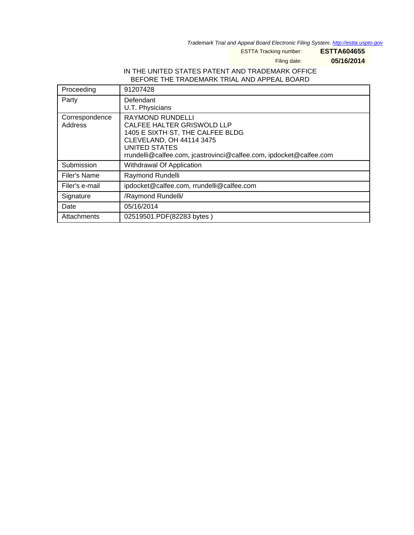Trademark Trial and Appeal Board Electronic Filing System. <http://estta.uspto.gov>

ESTTA Tracking number: **ESTTA604655**

Filing date: **05/16/2014**

## IN THE UNITED STATES PATENT AND TRADEMARK OFFICE BEFORE THE TRADEMARK TRIAL AND APPEAL BOARD

| Proceeding                | 91207428                                                                                                                                                                                                            |
|---------------------------|---------------------------------------------------------------------------------------------------------------------------------------------------------------------------------------------------------------------|
| Party                     | Defendant<br>U.T. Physicians                                                                                                                                                                                        |
| Correspondence<br>Address | <b>RAYMOND RUNDELLI</b><br>CALFEE HALTER GRISWOLD LLP<br>1405 E SIXTH ST, THE CALFEE BLDG<br><b>CLEVELAND, OH 44114 3475</b><br>UNITED STATES<br>rrundelli@calfee.com, jcastrovinci@calfee.com, ipdocket@calfee.com |
| Submission                | Withdrawal Of Application                                                                                                                                                                                           |
| Filer's Name              | Raymond Rundelli                                                                                                                                                                                                    |
| Filer's e-mail            | ipdocket@calfee.com, rrundelli@calfee.com                                                                                                                                                                           |
| Signature                 | /Raymond Rundelli/                                                                                                                                                                                                  |
| Date                      | 05/16/2014                                                                                                                                                                                                          |
| Attachments               | 02519501.PDF(82283 bytes)                                                                                                                                                                                           |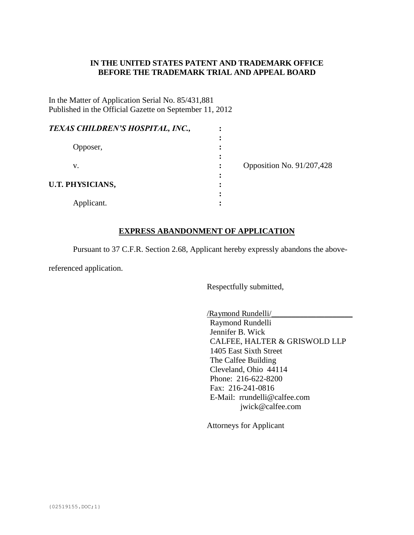## **IN THE UNITED STATES PATENT AND TRADEMARK OFFICE BEFORE THE TRADEMARK TRIAL AND APPEAL BOARD**

In the Matter of Application Serial No. 85/431,881 Published in the Official Gazette on September 11, 2012

| TEXAS CHILDREN'S HOSPITAL, INC., |                           |
|----------------------------------|---------------------------|
| Opposer,                         |                           |
| v.                               | Opposition No. 91/207,428 |
| U.T. PHYSICIANS,                 |                           |
| plicant.                         |                           |

## **EXPRESS ABANDONMENT OF APPLICATION**

Pursuant to 37 C.F.R. Section 2.68, Applicant hereby expressly abandons the above-

referenced application.

Respectfully submitted,

/Raymond Rundelli/ Raymond Rundelli Jennifer B. Wick CALFEE, HALTER & GRISWOLD LLP 1405 East Sixth Street The Calfee Building Cleveland, Ohio 44114 Phone: 216-622-8200 Fax: 216-241-0816 E-Mail: rrundelli@calfee.com jwick@calfee.com

Attorneys for Applicant